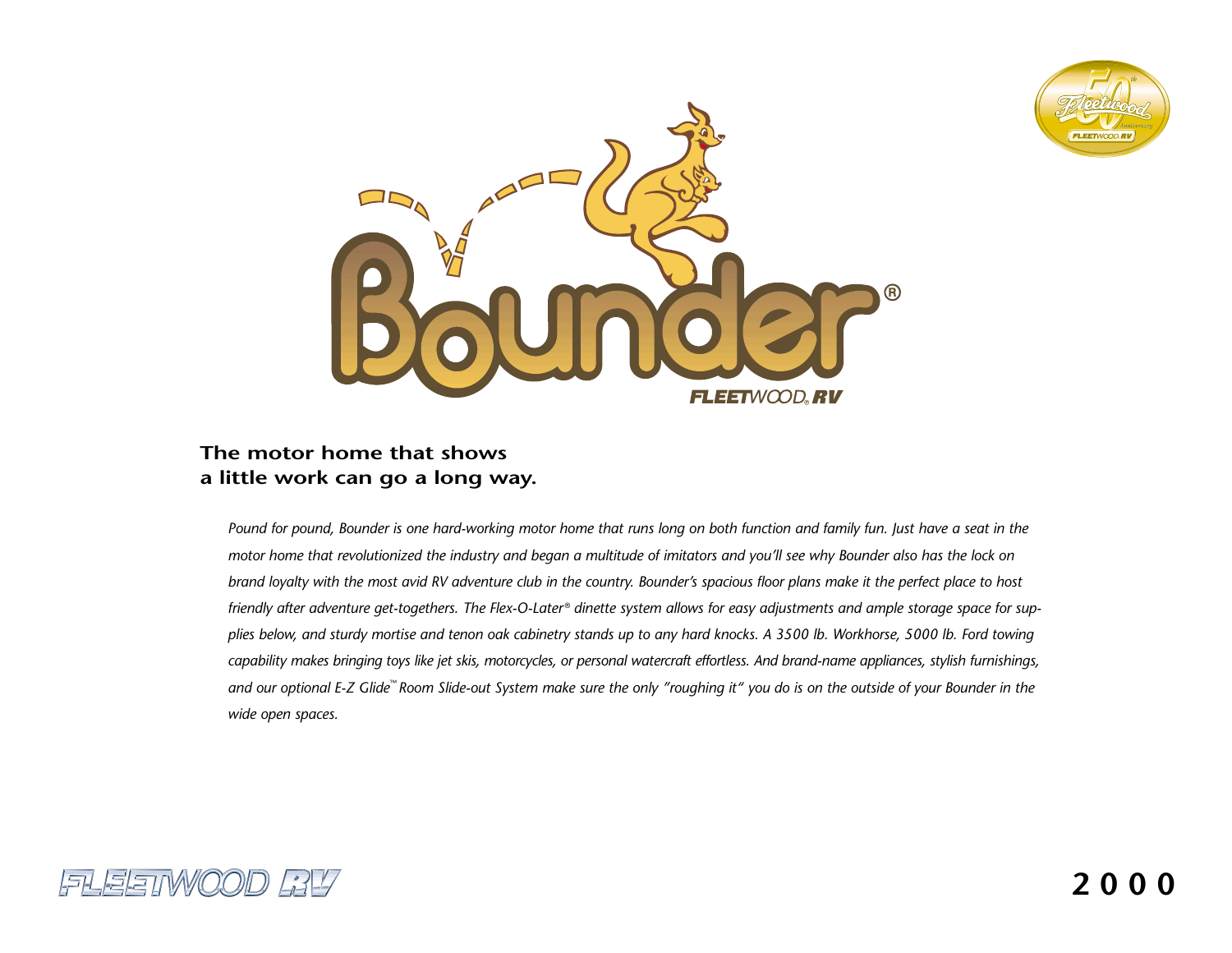



# **The motor home that showsa little work can go a long way.**

*Pound for pound, Bounder is one hard-working motor home that runs long on both function and family fun. Just have a seat in the motor home that revolutionized the industry and began a multitude of imitators and you'll see why Bounder also has the lock on brand loyalty with the most avid RV adventure club in the country. Bounder's spacious floor plans make it the perfect place to host friendly after adventure get-togethers. The Flex-O-Later* ® *dinette system allows for easy adjustments and ample storage space for supplies below, and sturdy mortise and tenon oak cabinetry stands up to any hard knocks. A 3500 lb. Workhorse, 5000 lb. Ford towing capability makes bringing toys like jet skis, motorcycles, or personal watercraft effortless. And brand-name appliances, stylish furnishings, and our optional E-Z Glide*™ *Room Slide-out System make sure the only "roughing it" you do is on the outside of your Bounder in the wide open spaces.*

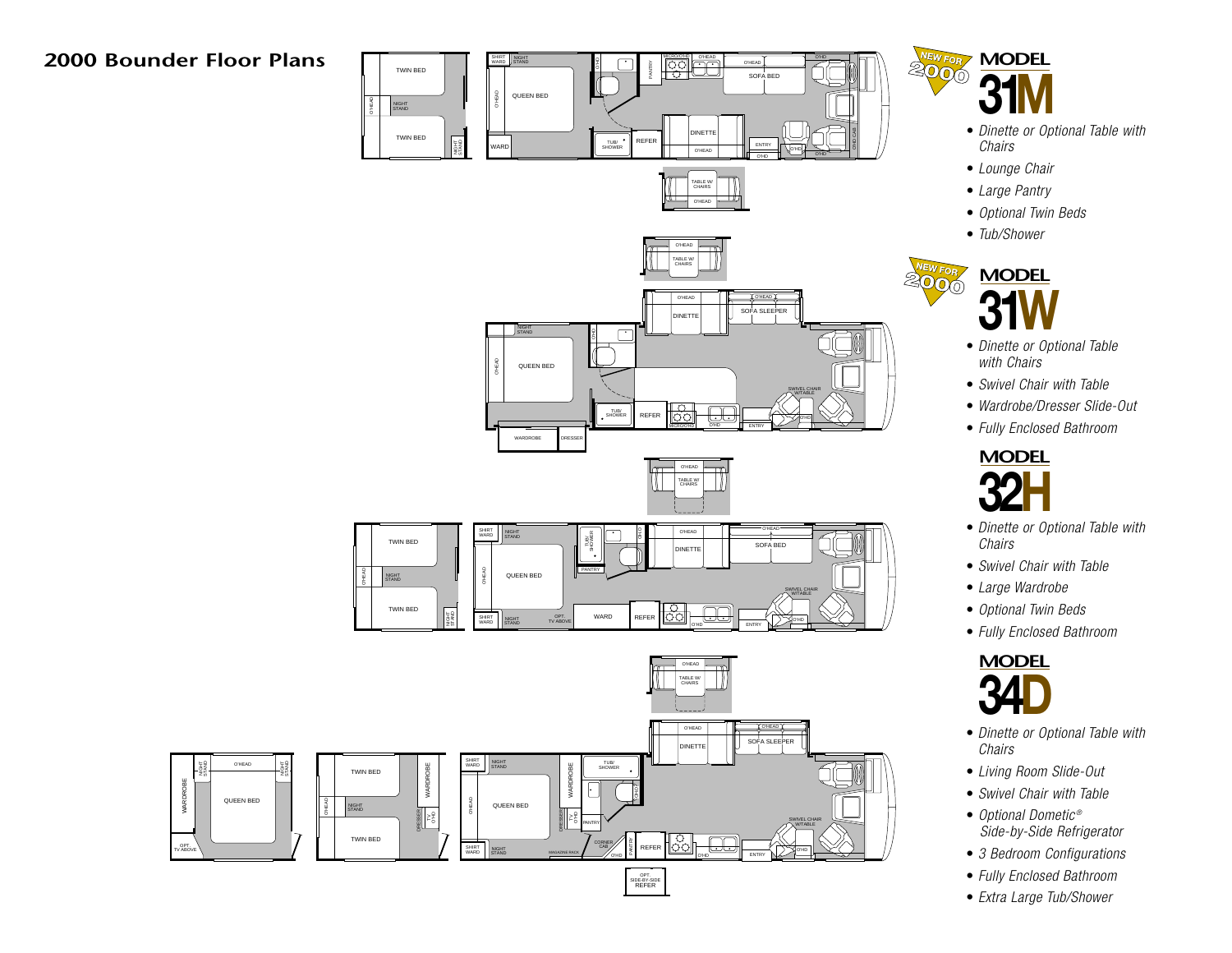# **2000 Bounder Floor Plans**





TABLE W/CHAIRSO'HEAD





- *Dinette or Optional Table with Chairs*
- *Lounge Chair*
- *Large Pantry*
- *Optional Twin Beds*
- *Tub/Shower*



- *Dinette or Optional Table with Chairs*
- *Swivel Chair with Table*
- *Wardrobe/Dresser Slide-Out*
- *Fully Enclosed Bathroom*



- *Dinette or Optional Table with Chairs*
- *Swivel Chair with Table*
- *Large Wardrobe*
- *Optional Twin Beds*
- *Fully Enclosed Bathroom*



- *Dinette or Optional Table with Chairs*
- *Living Room Slide-Out*
- *Swivel Chair with Table*
- *Optional Dometic ® Side-by-Side Refrigerator*
- *3 Bedroom Configurations*
- *Fully Enclosed Bathroom*
- *Extra Large Tub/Shower*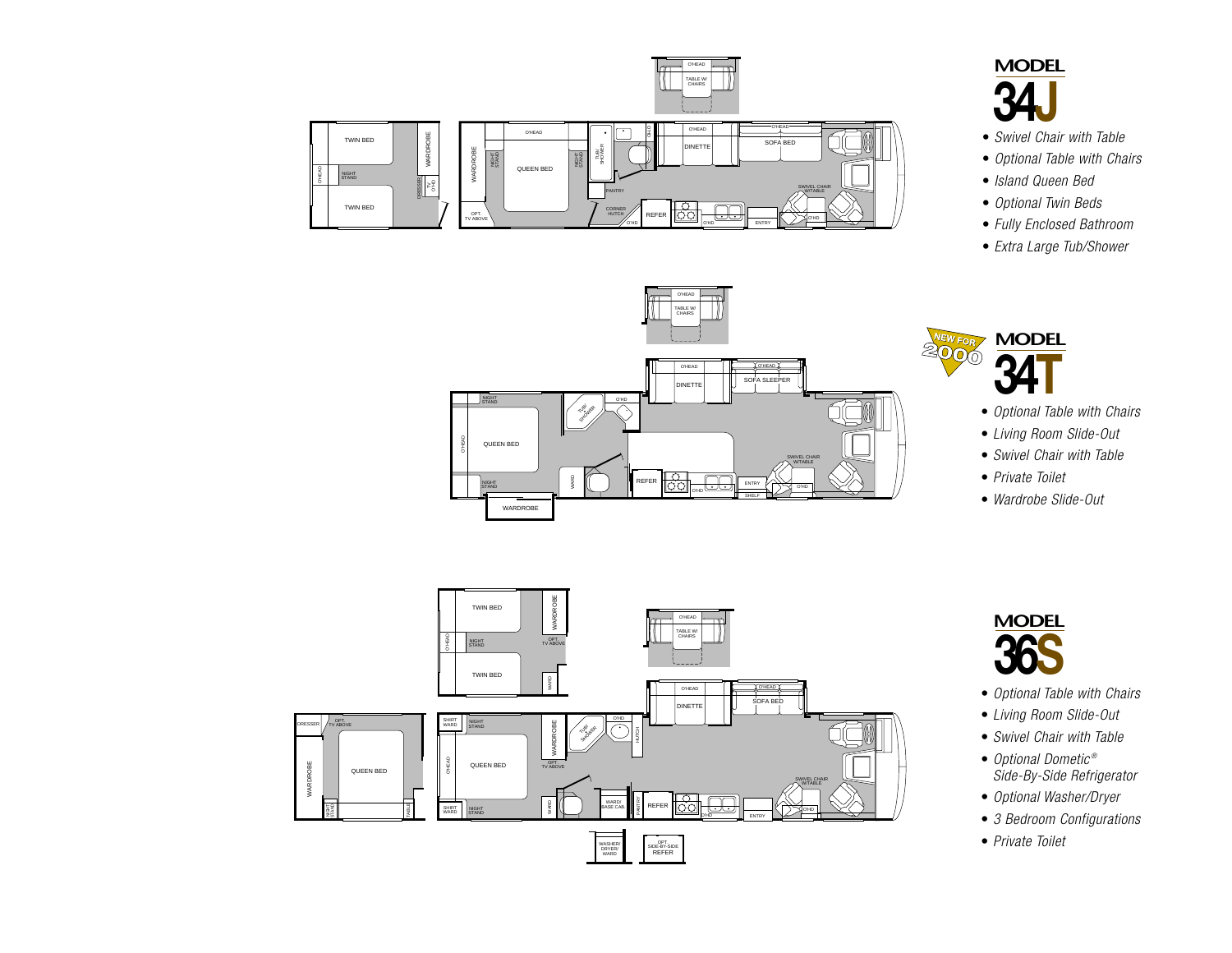

SOFA SLE

ENTRY

SHELF

SWIVEL CHAIRW/TABLE O'HD

D**ILL**OHEAD

O'HEAD

TABLE W/CHAIRSO'HEAD

NET<sup>T</sup>

O'HD

FST

REFER



- *Swivel Chair with Table*
- *Optional Table with Chairs*
- *Island Queen Bed*
- *Optional Twin Beds*
- *Fully Enclosed Bathroom*
- *Extra Large Tub/Shower*



- *Optional Table with Chairs*
- *Living Room Slide-Out*
- *Swivel Chair with Table*
- *Private Toilet*
- *Wardrobe Slide-Out*



WARDROBE

O'HEAD QUEEN BED

**STAND** 

NIGHTSTAND WARD

TUBARA<br>SHOWER



- *Optional Table with Chairs*
- *Living Room Slide-Out*
- *Swivel Chair with Table*
- *Optional Dometic ® Side-By-Side Refrigerator*
- *Optional Washer/Dryer*
- *3 Bedroom Configurations*
- *Private Toilet*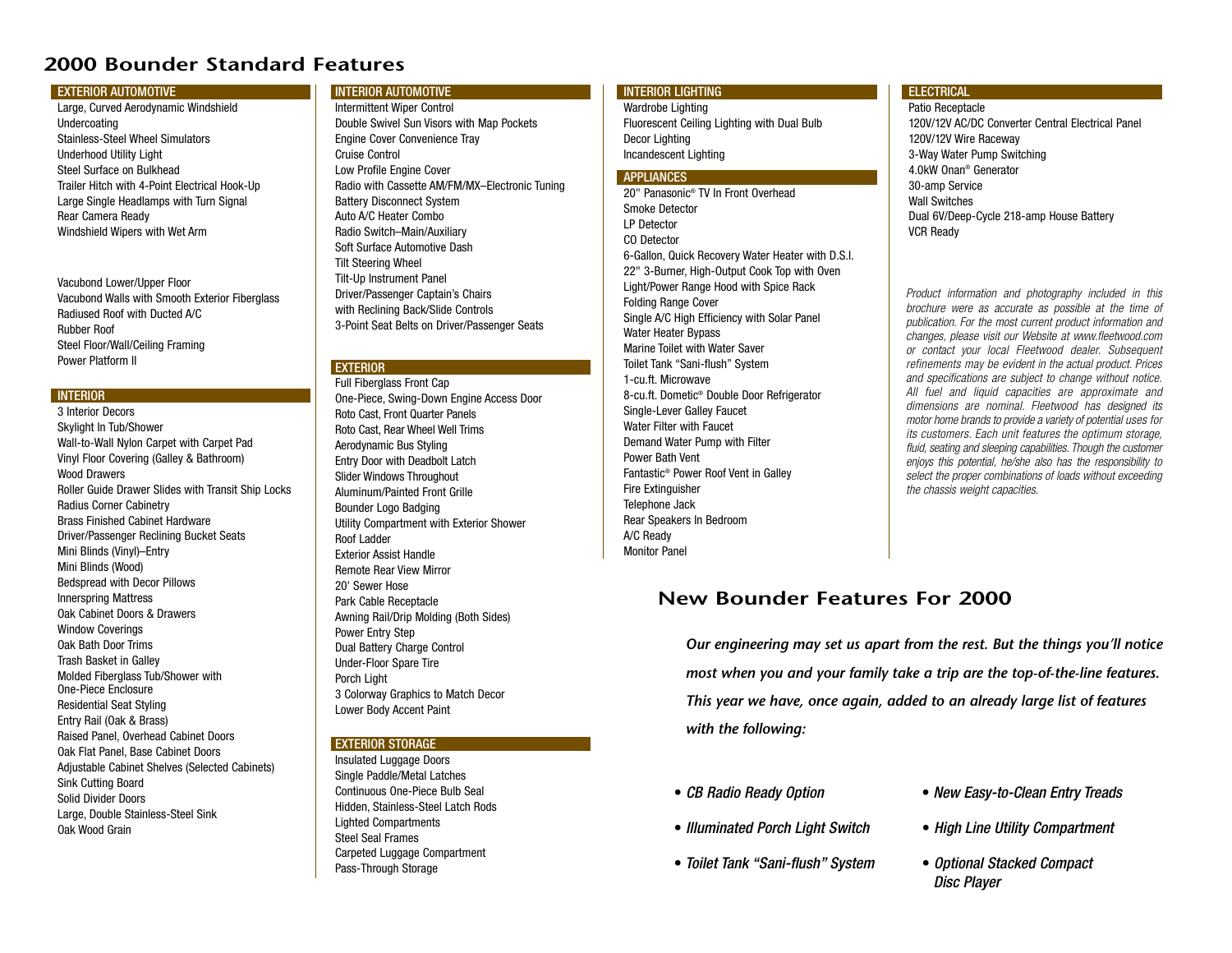# **2000 Bounder Standard Features**

#### **EXTERIOR AUTOMOTIVE**

Large, Curved Aerodynamic Windshield Undercoating Stainless-Steel Wheel SimulatorsUnderhood Utility Light Steel Surface on BulkheadTrailer Hitch with 4-Point Electrical Hook-Up Large Single Headlamps with Turn Signal Rear Camera Ready Windshield Wipers with Wet Arm

Vacubond Lower/Upper Floor Vacubond Walls with Smooth Exterior Fiberglass Radiused Roof with Ducted A/CRubber RoofSteel Floor/Wall/Ceiling Framing Power Platform II

#### **INTERIOR**

3 Interior DecorsSkylight In Tub/Shower Wall-to-Wall Nylon Carpet with Carpet Pad Vinyl Floor Covering (Galley & Bathroom) Wood DrawersRoller Guide Drawer Slides with Transit Ship Locks Radius Corner Cabinetry Brass Finished Cabinet HardwareDriver/Passenger Reclining Bucket Seats Mini Blinds (Vinyl)–Entry Mini Blinds (Wood) Bedspread with Decor Pillows Innerspring Mattress Oak Cabinet Doors & DrawersWindow Coverings Oak Bath Door TrimsTrash Basket in Galley Molded Fiberglass Tub/Shower with One-Piece EnclosureResidential Seat Styling Entry Rail (Oak & Brass) Raised Panel, Overhead Cabinet Doors Oak Flat Panel, Base Cabinet Doors Adjustable Cabinet Shelves (Selected Cabinets) Sink Cutting Board Solid Divider DoorsLarge, Double Stainless-Steel Sink Oak Wood Grain

## INTERIOR AUTOMOTIVE

Intermittent Wiper Control Double Swivel Sun Visors with Map Pockets Engine Cover Convenience Tray Cruise ControlLow Profile Engine Cover Radio with Cassette AM/FM/MX–Electronic Tuning Battery Disconnect System Auto A/C Heater ComboRadio Switch–Main/Auxiliary Soft Surface Automotive DashTilt Steering Wheel Tilt-Up Instrument Panel Driver/Passenger Captain's Chairs with Reclining Back/Slide Controls 3-Point Seat Belts on Driver/Passenger Seats

## **EXTERIOR**

Full Fiberglass Front Cap One-Piece, Swing-Down Engine Access Door Roto Cast, Front Quarter Panels Roto Cast, Rear Wheel Well Trims Aerodynamic Bus Styling Entry Door with Deadbolt Latch Slider Windows Throughout Aluminum/Painted Front GrilleBounder Logo Badging Utility Compartment with Exterior Shower Roof LadderExterior Assist HandleRemote Rear View Mirror20' Sewer HosePark Cable Receptacle Awning Rail/Drip Molding (Both Sides) Power Entry Step Dual Battery Charge Control Under-Floor Spare Tire Porch Light 3 Colorway Graphics to Match Decor Lower Body Accent Paint

### EXTERIOR STORAGE

Insulated Luggage Doors Single Paddle/Metal Latches Continuous One-Piece Bulb SealHidden, Stainless-Steel Latch Rods Lighted Compartments Steel Seal FramesCarpeted Luggage Compartment Pass-Through Storage

## INTERIOR LIGHTING

Wardrobe Lighting Fluorescent Ceiling Lighting with Dual Bulb Decor Lighting Incandescent Lighting

## APPLIANCES

20" Panasonic® TV In Front OverheadSmoke DetectorLP DetectorCO Detector6-Gallon, Quick Recovery Water Heater with D.S.I. 22" 3-Burner, High-Output Cook Top with Oven Light/Power Range Hood with Spice Rack Folding Range Cover Single A/C High Efficiency with Solar Panel Water Heater Bypass Marine Toilet with Water SaverToilet Tank "Sani-flush" System 1-cu.ft. Microwave8-cu.ft. Dometic® Double Door Refrigerator Single-Lever Galley Faucet Water Filter with FaucetDemand Water Pump with Filter Power Bath VentFantastic® Power Roof Vent in Galley Fire Extinguisher Telephone Jack Rear Speakers In Bedroom A/C Ready Monitor Panel

## ELECTRICAL

Patio Receptacle 120V/12V AC/DC Converter Central Electrical Panel120V/12V Wire Raceway 3-Way Water Pump Switching 4.0kW Onan® Generator30-amp Service Wall SwitchesDual 6V/Deep-Cycle 218-amp House Battery VCR Ready

*Product information and photography included in this brochure were as accurate as possible at the time of publication. For the most current product information and changes, please visit our Website at www.fleetwood.com or contact your local Fleetwood dealer. Subsequent refinements may be evident in the actual product. Prices and specifications are subject to change without notice. All fuel and liquid capacities are approximate and dimensions are nominal. Fleetwood has designed its motor home brands to provide a variety of potential uses for its customers. Each unit features the optimum storage, fluid, seating and sleeping capabilities. Though the customer enjoys this potential, he/she also has the responsibility to select the proper combinations of loads without exceeding the chassis weight capacities.*

# **New Bounder Features For 2000**

*Our engineering may set us apart from the rest. But the things you'll notice most when you and your family take a trip are the top-of-the-line features. This year we have, once again, added to an already large list of features with the following:*

- *CB Radio Ready Option*
- *Illuminated Porch Light Switch*
- *Toilet Tank "Sani-flush" System*
- *New Easy-to-Clean Entry Treads*
- *High Line Utility Compartment*
- *Optional Stacked Compact Disc Player*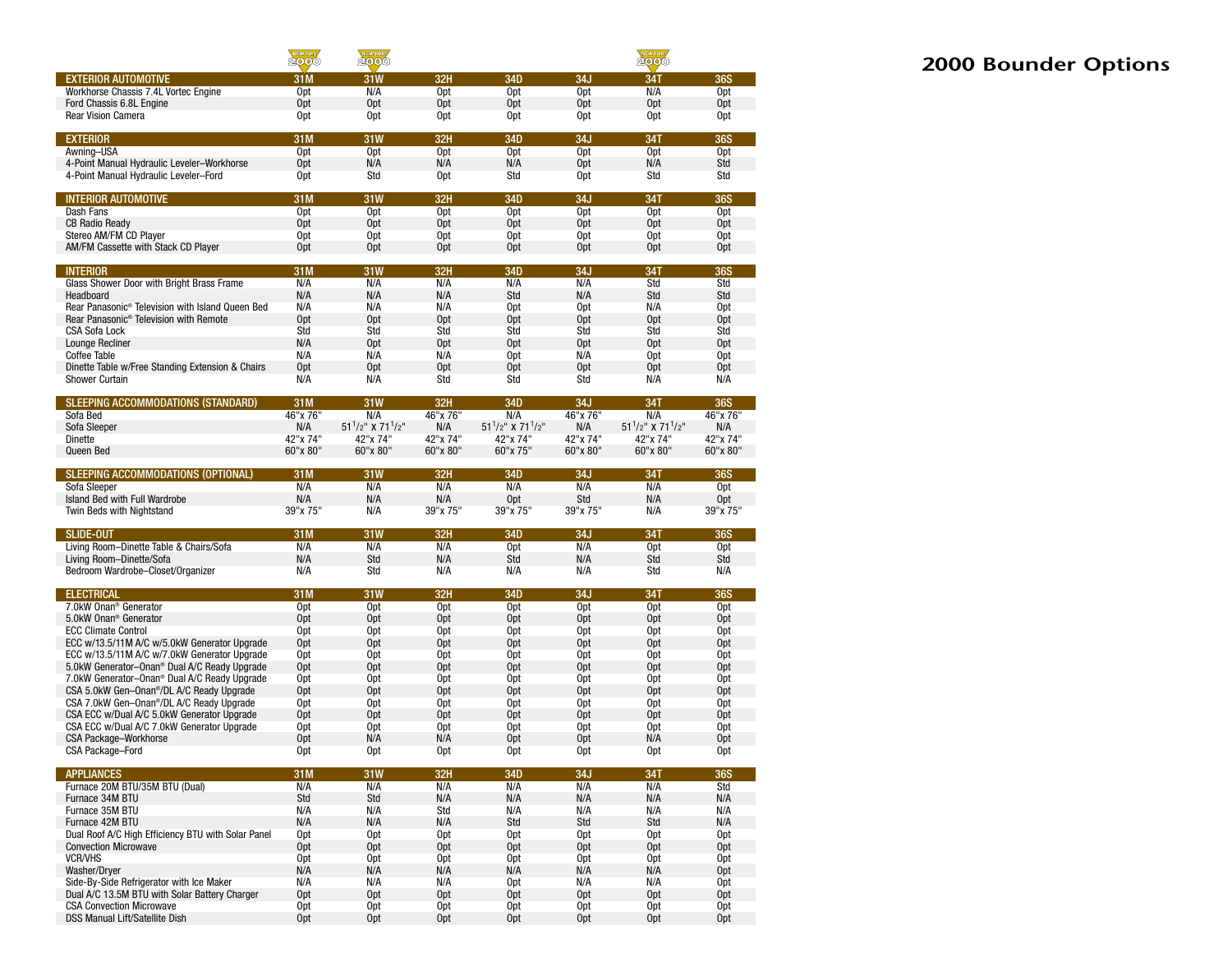|                                                                                                          | NEWFOR                             | <b>NEW FOR</b>                           |                                    |                                         | NEW FOR                            |                                         |                                    |  |  |  |
|----------------------------------------------------------------------------------------------------------|------------------------------------|------------------------------------------|------------------------------------|-----------------------------------------|------------------------------------|-----------------------------------------|------------------------------------|--|--|--|
| <b>EXTERIOR AUTOMOTIVE</b>                                                                               | 31M                                | 31W                                      | 32H                                | 34D                                     | 34J                                | 34T                                     | <b>36S</b>                         |  |  |  |
| Workhorse Chassis 7.4L Vortec Engine                                                                     | 0pt                                | N/A                                      | 0 <sub>pt</sub>                    | 0 <sub>pt</sub>                         | 0 <sub>pt</sub>                    | N/A                                     | 0 <sub>pt</sub>                    |  |  |  |
| Ford Chassis 6.8L Engine                                                                                 | 0 <sub>pt</sub>                    | 0pt                                      | 0 <sub>pt</sub>                    | 0 <sub>pt</sub>                         | 0 <sub>pt</sub>                    | 0pt                                     | 0 <sub>pt</sub>                    |  |  |  |
| <b>Rear Vision Camera</b>                                                                                | 0pt                                | 0pt                                      | 0pt                                | 0pt                                     | 0pt                                | 0pt                                     | 0pt                                |  |  |  |
| <b>EXTERIOR</b>                                                                                          | 31M                                | 31W                                      | <b>32H</b>                         | 34D                                     | 34J                                | 34T                                     | <b>36S</b>                         |  |  |  |
| Awning-USA                                                                                               | 0pt                                | 0 <sub>pt</sub>                          | Opt                                | Opt                                     | 0pt                                | 0 <sub>pt</sub>                         | <b>Opt</b>                         |  |  |  |
| 4-Point Manual Hydraulic Leveler-Workhorse<br>4-Point Manual Hydraulic Leveler-Ford                      | 0 <sub>pt</sub><br>0pt             | N/A<br>Std                               | N/A<br>0 <sub>pt</sub>             | N/A<br>Std                              | 0 <sub>pt</sub><br>0pt             | N/A<br>Std                              | Std<br>Std                         |  |  |  |
|                                                                                                          |                                    |                                          |                                    |                                         |                                    |                                         |                                    |  |  |  |
| <b>INTERIOR AUTOMOTIVE</b>                                                                               | 31M                                | <b>31W</b>                               | 32H                                | 34D                                     | 34J                                | <b>34T</b>                              | <b>36S</b>                         |  |  |  |
| Dash Fans                                                                                                | 0pt                                | 0pt                                      | 0 <sub>pt</sub>                    | 0pt                                     | 0 <sub>pt</sub>                    | 0 <sub>pt</sub>                         | 0pt                                |  |  |  |
| <b>CB Radio Ready</b><br>Stereo AM/FM CD Player                                                          | 0 <sub>pt</sub><br>0pt             | Opt<br>0pt                               | Opt<br>0pt                         | Opt<br>0pt                              | Opt<br>0pt                         | Opt<br>0pt                              | Opt<br>0pt                         |  |  |  |
| AM/FM Cassette with Stack CD Player                                                                      | 0 <sub>pt</sub>                    | 0 <sub>pt</sub>                          | 0 <sub>pt</sub>                    | 0 <sub>pt</sub>                         | 0 <sub>pt</sub>                    | 0 <sub>pt</sub>                         | 0 <sub>pt</sub>                    |  |  |  |
| <b>INTERIOR</b>                                                                                          | 31M                                | 31W                                      | 32H                                | 34D                                     | 34J                                | 34T                                     | <b>36S</b>                         |  |  |  |
| Glass Shower Door with Bright Brass Frame                                                                | N/A                                | N/A                                      | N/A                                | N/A                                     | N/A                                | Std                                     | Std                                |  |  |  |
| Headboard                                                                                                | N/A                                | N/A                                      | N/A                                | Std                                     | N/A                                | Std                                     | Std                                |  |  |  |
| Rear Panasonic® Television with Island Queen Bed                                                         | N/A                                | N/A                                      | N/A                                | 0 <sub>pt</sub>                         | 0 <sub>pt</sub>                    | N/A                                     | 0pt                                |  |  |  |
| Rear Panasonic <sup>®</sup> Television with Remote<br><b>CSA Sofa Lock</b>                               | 0 <sub>pt</sub><br>Std             | Opt<br>Std                               | 0 <sub>pt</sub><br>Std             | Opt<br>Std                              | 0 <sub>pt</sub><br>Std             | Opt<br>Std                              | 0 <sub>pt</sub><br>Std             |  |  |  |
| Lounge Recliner                                                                                          | N/A                                | Opt                                      | Opt                                | 0 <sub>pt</sub>                         | Opt                                | Opt                                     | Opt                                |  |  |  |
| <b>Coffee Table</b>                                                                                      | N/A                                | N/A                                      | N/A                                | 0 <sub>pt</sub>                         | N/A                                | Opt                                     | 0pt                                |  |  |  |
| Dinette Table w/Free Standing Extension & Chairs                                                         | Opt                                | Opt                                      | Opt                                | 0 <sub>pt</sub>                         | Opt                                | 0 <sub>pt</sub>                         | Opt                                |  |  |  |
| <b>Shower Curtain</b>                                                                                    | N/A                                | N/A                                      | Std                                | Std                                     | Std                                | N/A                                     | N/A                                |  |  |  |
| SLEEPING ACCOMMODATIONS (STANDARD)                                                                       | 31M                                | 31W                                      | 32H                                | 34D                                     | 34J                                | 34T                                     | <b>36S</b>                         |  |  |  |
| Sofa Bed                                                                                                 | 46"x 76"                           | N/A                                      | 46"x 76"                           | N/A                                     | 46"x 76"                           | N/A                                     | 46"x 76"                           |  |  |  |
| Sofa Sleeper<br>Dinette                                                                                  | N/A<br>42"x 74"                    | $51^{1}/2$ " X 71 $^{1}/2$ "<br>42"x 74" | N/A<br>42"x 74"                    | $51^{1}/2$ " X $71^{1}/2$ "<br>42"x 74" | N/A<br>42"x 74"                    | $51^{1}/2$ " X $71^{1}/2$ "<br>42"x 74" | N/A<br>42"x 74"                    |  |  |  |
| Queen Bed                                                                                                | 60"x 80"                           | 60"x 80"                                 | 60"x 80"                           | 60"x 75"                                | 60"x 80"                           | 60"x 80"                                | 60"x 80"                           |  |  |  |
|                                                                                                          |                                    |                                          |                                    | 34D                                     | 34J                                |                                         |                                    |  |  |  |
| SLEEPING ACCOMMODATIONS (OPTIONAL)<br>Sofa Sleeper                                                       | 31M<br>N/A                         | 31W<br>N/A                               | 32H<br>N/A                         | N/A                                     | N/A                                | 34T<br>N/A                              | <b>36S</b><br>Opt                  |  |  |  |
| Island Bed with Full Wardrobe                                                                            | N/A                                | N/A                                      | N/A                                | 0pt                                     | Std                                | N/A                                     | Opt                                |  |  |  |
| Twin Beds with Nightstand                                                                                | 39"x 75"                           | N/A                                      | 39"x 75"                           | 39"x 75"                                | 39"x 75"                           | N/A                                     | 39"x 75"                           |  |  |  |
| <b>SLIDE-OUT</b>                                                                                         | 31M                                | 31W                                      | 32H                                | 34D                                     | 34J                                | 34T                                     | <b>36S</b>                         |  |  |  |
| Living Room-Dinette Table & Chairs/Sofa                                                                  | N/A                                | N/A                                      | N/A                                | 0 <sub>pt</sub>                         | N/A                                | 0 <sub>pt</sub>                         | 0 <sub>pt</sub>                    |  |  |  |
| Living Room-Dinette/Sofa<br>Bedroom Wardrobe-Closet/Organizer                                            | N/A<br>N/A                         | Std<br>Std                               | N/A<br>N/A                         | Std<br>N/A                              | N/A<br>N/A                         | Std<br>Std                              | Std<br>N/A                         |  |  |  |
|                                                                                                          |                                    |                                          |                                    |                                         |                                    |                                         |                                    |  |  |  |
| <b>ELECTRICAL</b>                                                                                        | 31M                                | 31W                                      | <b>32H</b>                         | 34D                                     | 34J                                | 34T                                     | <b>36S</b>                         |  |  |  |
| 7.0kW Onan <sup>®</sup> Generator<br>5.0kW Onan <sup>®</sup> Generator                                   | 0 <sub>pt</sub><br>0 <sub>pt</sub> | 0pt<br>Opt                               | 0 <sub>pt</sub><br>0 <sub>pt</sub> | 0 <sub>pt</sub><br>0 <sub>pt</sub>      | 0 <sub>pt</sub><br>0 <sub>pt</sub> | 0 <sub>pt</sub><br>Opt                  | 0 <sub>pt</sub><br>0 <sub>pt</sub> |  |  |  |
| <b>ECC Climate Control</b>                                                                               | 0pt                                | 0pt                                      | 0 <sub>pt</sub>                    | 0pt                                     | 0pt                                | 0pt                                     | 0 <sub>pt</sub>                    |  |  |  |
| ECC w/13.5/11M A/C w/5.0kW Generator Upgrade                                                             | 0 <sub>pt</sub>                    | 0 <sub>pt</sub>                          | 0 <sub>pt</sub>                    | 0 <sub>pt</sub>                         | 0 <sub>pt</sub>                    | 0 <sub>pt</sub>                         | 0 <sub>pt</sub>                    |  |  |  |
| ECC w/13.5/11M A/C w/7.0kW Generator Upgrade<br>5.0kW Generator-Onan <sup>®</sup> Dual A/C Ready Upgrade | Opt<br>Opt                         | 0pt<br>0 <sub>pt</sub>                   | 0pt<br>0 <sub>pt</sub>             | 0pt<br>0 <sub>pt</sub>                  | 0pt<br>0 <sub>pt</sub>             | 0pt<br>0 <sub>pt</sub>                  | 0pt<br>0 <sub>pt</sub>             |  |  |  |
| 7.0kW Generator-Onan <sup>®</sup> Dual A/C Ready Upgrade                                                 | 0pt                                | 0pt                                      | 0 <sub>pt</sub>                    | 0 <sub>pt</sub>                         | 0 <sub>pt</sub>                    | 0pt                                     | 0pt                                |  |  |  |
| CSA 5.0kW Gen-Onan <sup>®</sup> /DL A/C Ready Upgrade                                                    | 0 <sub>pt</sub>                    | 0 <sub>pt</sub>                          | 0 <sub>pt</sub>                    | 0 <sub>pt</sub>                         | 0 <sub>pt</sub>                    | 0 <sub>pt</sub>                         | 0 <sub>pt</sub>                    |  |  |  |
| CSA 7.0kW Gen-Onan <sup>®</sup> /DL A/C Ready Upgrade                                                    | 0pt                                | 0pt                                      | 0pt                                | 0pt                                     | 0pt                                | 0pt                                     | 0pt                                |  |  |  |
| CSA ECC w/Dual A/C 5.0kW Generator Upgrade<br>CSA ECC w/Dual A/C 7.0kW Generator Upgrade                 | 0 <sub>pt</sub><br>0pt             | 0 <sub>pt</sub><br>0pt                   | Opt<br>0pt                         | 0 <sub>pt</sub><br>0pt                  | 0 <sub>pt</sub><br>0pt             | 0 <sub>pt</sub><br>0pt                  | Opt<br>0pt                         |  |  |  |
| CSA Package-Workhorse                                                                                    | 0pt                                | N/A                                      | N/A                                | 0pt                                     | 0pt                                | N/A                                     | 0pt                                |  |  |  |
| CSA Package-Ford                                                                                         | Opt                                | 0pt                                      | 0pt                                | Opt                                     | <b>Opt</b>                         | 0pt                                     | 0pt                                |  |  |  |
| <b>APPLIANCES</b>                                                                                        | 31M                                | 31W                                      | <b>32H</b>                         | 34D                                     | 34J                                | 34T                                     | 36S                                |  |  |  |
| Furnace 20M BTU/35M BTU (Dual)                                                                           | N/A                                | N/A                                      | N/A                                | N/A                                     | N/A                                | N/A                                     | Std                                |  |  |  |
| Furnace 34M BTU                                                                                          | Std                                | Std                                      | N/A                                | N/A                                     | N/A                                | N/A                                     | N/A                                |  |  |  |
| Furnace 35M BTU<br>Furnace 42M BTU                                                                       | N/A<br>N/A                         | N/A<br>N/A                               | Std<br>N/A                         | N/A<br>Std                              | N/A<br>Std                         | N/A<br>Std                              | N/A<br>N/A                         |  |  |  |
| Dual Roof A/C High Efficiency BTU with Solar Panel                                                       | 0pt                                | 0pt                                      | 0pt                                | 0pt                                     | 0pt                                | 0pt                                     | Opt                                |  |  |  |
| <b>Convection Microwave</b>                                                                              | 0 <sub>pt</sub>                    | 0 <sub>pt</sub>                          | 0pt                                | Opt                                     | Opt                                | Opt                                     | 0pt                                |  |  |  |
| <b>VCR/VHS</b>                                                                                           | 0pt                                | 0pt                                      | 0pt                                | 0pt                                     | 0pt                                | 0pt                                     | 0pt                                |  |  |  |
| Washer/Dryer<br>Side-Bv-Side Refrigerator with Ice Maker                                                 | N/A<br>N/A                         | N/A<br>N/A                               | N/A<br>N/A                         | N/A<br>0pt                              | N/A<br>N/A                         | N/A<br>N/A                              | Opt<br>0pt                         |  |  |  |
| Dual A/C 13.5M BTU with Solar Battery Charger                                                            | Opt                                | Opt                                      | Opt                                | 0pt                                     | Opt                                | Opt                                     | 0pt                                |  |  |  |
| <b>CSA Convection Microwave</b>                                                                          | 0pt                                | Opt                                      | Opt                                | 0pt                                     | 0pt                                | 0pt                                     | Opt                                |  |  |  |
| <b>DSS Manual Lift/Satellite Dish</b>                                                                    | Opt                                | Opt                                      | Opt                                | Opt                                     | Opt                                | Opt                                     | Opt                                |  |  |  |

# **2000 Bounder Options**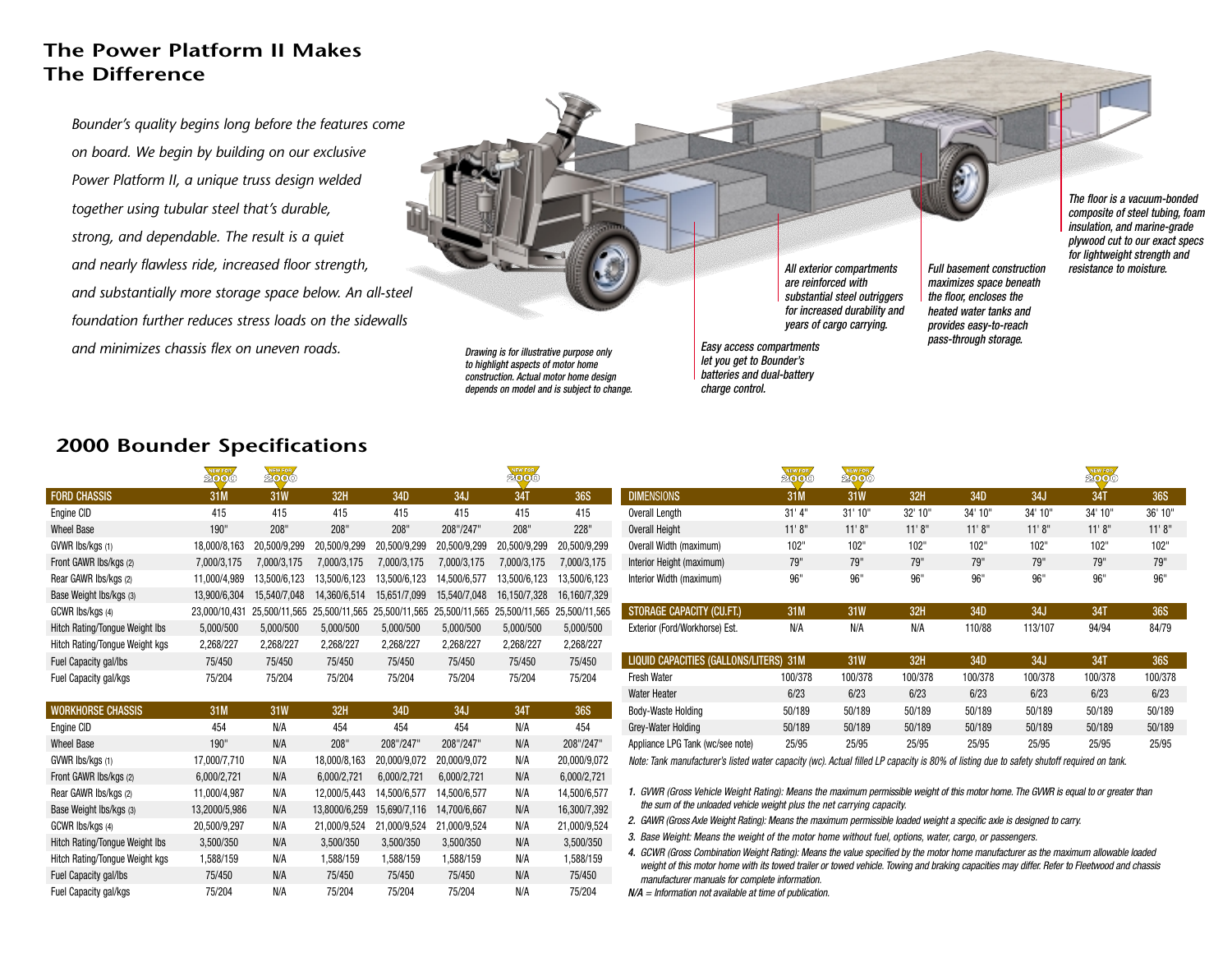# **The Power Platform II Makes The Difference**

*Bounder's quality begins long before the features come on board. We begin by building on our exclusive Power Platform II, a unique truss design welded together using tubular steel that's durable, strong, and dependable. The result is a quiet and nearly flawless ride, increased floor strength, and substantially more storage space below. An all-steel foundation further reduces stress loads on the sidewallsand minimizes chassis flex on uneven roads.*

*Drawing is for illustrative purpose only to highlight aspects of motor home construction. Actual motor home design depends on model and is subject to change.*

*All exterior compartments are reinforced with substantial steel outriggers for increased durability and years of cargo carrying.*

*Easy access compartments let you get to Bounder's batteries and dual-battery charge control.*

 *composite of steel tubing, foam insulation, and marine-grade plywood cut to our exact specs for lightweight strength and resistance to moisture.*

*Full basement construction*

*maximizes space beneath the floor, encloses the heated water tanks and provides easy-to-reach pass-through storage.*

*The floor is a vacuum-bonded*

## **2000 Bounder Specifications**

Fuel Capacity gal/lbs 75/450 N/A 75/450 75/450 75/450 N/A 75/450 Fuel Capacity gal/kgs 75/204 N/A 75/204 75/204 75/204 N/A 75/204

|                                | <b>NEW FOR</b><br>2000 | <b>NEW FOR</b> |               |               |               | NEW FOR      |                             |                                                                                                                                                                                                                                       | NEW FOR<br>2000 | NEW FOR         |         |         |         | NEW FOR    |            |  |
|--------------------------------|------------------------|----------------|---------------|---------------|---------------|--------------|-----------------------------|---------------------------------------------------------------------------------------------------------------------------------------------------------------------------------------------------------------------------------------|-----------------|-----------------|---------|---------|---------|------------|------------|--|
| <b>FORD CHASSIS</b>            | 31M                    | 31W            | 32H           | 34D           | 34J           | 34T          | <b>36S</b>                  | <b>DIMENSIONS</b>                                                                                                                                                                                                                     | 31M             | 31 <sub>W</sub> | 32H     | 34D     | 34J     | 34T        | <b>36S</b> |  |
| Engine CID                     | 415                    | 415            | 415           | 415           | 415           | 415          | 415                         | Overall Length                                                                                                                                                                                                                        | 31' 4''         | 31'10''         | 32' 10" | 34' 10" | 34' 10" | 34' 10"    | 36' 10"    |  |
| <b>Wheel Base</b>              | 190"                   | 208"           | 208"          | 208"          | 208"/247"     | 208"         | 228"                        | <b>Overall Height</b>                                                                                                                                                                                                                 | 11'8''          | 11'8''          | 11'8''  | 11'8''  | 11'8''  | 11'8''     | 11' 8'     |  |
| GVWR Ibs/kgs (1)               | 18,000/8,163           | 20,500/9,299   | 20,500/9,299  | 20,500/9,299  | 20,500/9,299  | 20.500/9.299 | 20.500/9.299                | Overall Width (maximum)                                                                                                                                                                                                               | 102"            | 102"            | 102"    | 102"    | 102"    | 102"       | 102"       |  |
| Front GAWR Ibs/kgs (2)         | 7,000/3,175            | 7,000/3,175    | 7,000/3,175   | 7,000/3,175   | 7,000/3,175   | 7,000/3,175  | 7,000/3,175                 | Interior Height (maximum)                                                                                                                                                                                                             | 79"             | 79"             | 79"     | 79"     | 79"     | 79"        | 79"        |  |
| Rear GAWR Ibs/kgs (2)          | 11.000/4.989           | 13,500/6,123   | 13,500/6,123  | 13,500/6,123  | 14,500/6,577  | 13,500/6,123 | 13,500/6,123                | Interior Width (maximum)                                                                                                                                                                                                              | 96"             | 96"             | 96"     | 96"     | 96"     | 96"        | 96"        |  |
| Base Weight Ibs/kgs (3)        | 13,900/6,304           | 15.540/7.048   | 14,360/6,514  | 15,651/7,099  | 15,540/7,048  | 16,150/7,328 | 16,160/7,329                |                                                                                                                                                                                                                                       |                 |                 |         |         |         |            |            |  |
| GCWR lbs/kgs (4)               | 23.000/10.431          | 25.500/11.565  | 25.500/11.565 | 25.500/11.565 | 25.500/11.565 |              | 25.500/11.565 25.500/11.565 | STORAGE CAPACITY (CU.FT.)                                                                                                                                                                                                             | 31M             | 31W             | 32H     | 34D     | 34J     | <b>34T</b> | <b>36S</b> |  |
| Hitch Rating/Tongue Weight Ibs | 5,000/500              | 5,000/500      | 5,000/500     | 5,000/500     | 5,000/500     | 5,000/500    | 5,000/500                   | Exterior (Ford/Workhorse) Est.                                                                                                                                                                                                        | N/A             | N/A             | N/A     | 110/88  | 113/107 | 94/94      | 84/79      |  |
| Hitch Rating/Tongue Weight kgs | 2,268/227              | 2,268/227      | 2,268/227     | 2,268/227     | 2,268/227     | 2,268/227    | 2,268/227                   |                                                                                                                                                                                                                                       |                 |                 |         |         |         |            |            |  |
| Fuel Capacity gal/lbs          | 75/450                 | 75/450         | 75/450        | 75/450        | 75/450        | 75/450       | 75/450                      | LIQUID CAPACITIES (GALLONS/LITERS) 31M                                                                                                                                                                                                |                 | 31W             | 32H     | 34D     | 34J     | 34T        | <b>36S</b> |  |
| Fuel Capacity gal/kgs          | 75/204                 | 75/204         | 75/204        | 75/204        | 75/204        | 75/204       | 75/204                      | <b>Fresh Water</b>                                                                                                                                                                                                                    | 100/378         | 100/378         | 100/378 | 100/378 | 100/378 | 100/378    | 100/378    |  |
|                                |                        |                |               |               |               |              |                             | <b>Water Heater</b>                                                                                                                                                                                                                   | 6/23            | 6/23            | 6/23    | 6/23    | 6/23    | 6/23       | 6/23       |  |
| <b>WORKHORSE CHASSIS</b>       | 31M                    | <b>31W</b>     | 32H           | 34D           | 34J           | 34T          | <b>36S</b>                  | Body-Waste Holding                                                                                                                                                                                                                    | 50/189          | 50/189          | 50/189  | 50/189  | 50/189  | 50/189     | 50/189     |  |
| Engine CID                     | 454                    | N/A            | 454           | 454           | 454           | N/A          | 454                         | Grey-Water Holding                                                                                                                                                                                                                    | 50/189          | 50/189          | 50/189  | 50/189  | 50/189  | 50/189     | 50/189     |  |
| <b>Wheel Base</b>              | 190"                   | N/A            | 208"          | 208"/247      | 208"/247"     | N/A          | 208"/247"                   | Appliance LPG Tank (wc/see note)                                                                                                                                                                                                      | 25/95           | 25/95           | 25/95   | 25/95   | 25/95   | 25/95      | 25/95      |  |
| GVWR Ibs/kgs (1)               | 17,000/7,710           | N/A            | 18,000/8,163  | 20,000/9,072  | 20,000/9,072  | N/A          | 20,000/9,072                | Note: Tank manufacturer's listed water capacity (wc). Actual filled LP capacity is 80% of listing due to safety shutoff required on tank.                                                                                             |                 |                 |         |         |         |            |            |  |
| Front GAWR Ibs/kgs (2)         | 6,000/2,721            | N/A            | 6,000/2,721   | 6,000/2,721   | 6.000/2.721   | N/A          | 6,000/2,721                 |                                                                                                                                                                                                                                       |                 |                 |         |         |         |            |            |  |
| Rear GAWR Ibs/kgs (2)          | 11,000/4,987           | N/A            | 12,000/5,443  | 14,500/6,577  | 14,500/6,577  | N/A          | 14,500/6,577                | 1. GVWR (Gross Vehicle Weight Rating): Means the maximum permissible weight of this motor home. The GVWR is equal to or greater than<br>the sum of the unloaded vehicle weight plus the net carrying capacity.                        |                 |                 |         |         |         |            |            |  |
| Base Weight Ibs/kgs (3)        | 13,2000/5,986          | N/A            | 13,8000/6,259 | 15.690/7.116  | 14.700/6.667  | N/A          | 16,300/7,392                |                                                                                                                                                                                                                                       |                 |                 |         |         |         |            |            |  |
| GCWR lbs/kgs (4)               | 20,500/9,297           | N/A            | 21,000/9,524  | 21,000/9,524  | 21,000/9,524  | N/A          | 21,000/9,524                | 2. GAWR (Gross Axle Weight Rating): Means the maximum permissible loaded weight a specific axle is designed to carry.<br>3. Base Weight: Means the weight of the motor home without fuel, options, water, cargo, or passengers.       |                 |                 |         |         |         |            |            |  |
| Hitch Rating/Tongue Weight Ibs | 3,500/350              | N/A            | 3,500/350     | 3.500/350     | 3,500/350     | N/A          | 3,500/350                   |                                                                                                                                                                                                                                       |                 |                 |         |         |         |            |            |  |
| Hitch Rating/Tongue Weight kgs | 1.588/159              | N/A            | 1.588/159     | 1.588/159     | 1.588/159     | N/A          | 1.588/159                   | 4. GCWR (Gross Combination Weight Rating): Means the value specified by the motor home manufacturer as the maximum allowable loaded<br>大きなどとはない。このようなど、このことは、なんない。このようなない。このようなので、または、美しいものになると、このようない。このこのない。このこの <i>世界に、自分という</i> に |                 |                 |         |         |         |            |            |  |

weight of this motor home with its towed trailer or towed vehicle. Towing and braking capacities may differ. Refer to Fleetwood and chassis *manufacturer manuals for complete information.*

*N/A = Information not available at time of publication.*